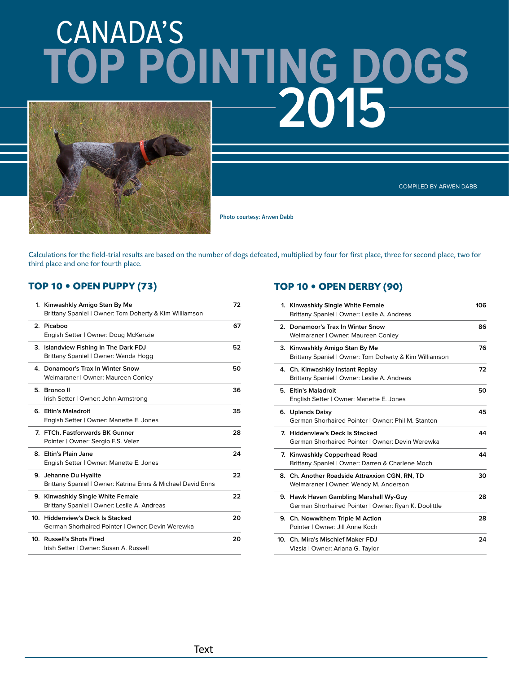# CANADA'S **2015 TOP POINTING DOGS**



COMPILED BY ARWEN DABB

**Photo courtesy: Arwen Dabb** 

Calculations for the field-trial results are based on the number of dogs defeated, multiplied by four for first place, three for second place, two for third place and one for fourth place.

#### **IDEA: OPEN PUPPY** (73)

| 1. Kinwashkly Amigo Stan By Me<br>Brittany Spaniel   Owner: Tom Doherty & Kim Williamson | 72 |
|------------------------------------------------------------------------------------------|----|
| 2. Picaboo<br>Engish Setter   Owner: Doug McKenzie                                       | 67 |
| 3. Islandview Fishing In The Dark FDJ<br>Brittany Spaniel   Owner: Wanda Hogg            | 52 |
| 4. Donamoor's Trax In Winter Snow<br>Weimaraner   Owner: Maureen Conley                  | 50 |
| 5. Bronco II<br>Irish Setter   Owner: John Armstrong                                     | 36 |
| 6. Eltin's Maladroit<br>Engish Setter   Owner: Manette E. Jones                          | 35 |
| 7. FTCh. Fastforwards BK Gunner<br>Pointer   Owner: Sergio F.S. Velez                    | 28 |
| 8. Eltin's Plain Jane<br>Engish Setter   Owner: Manette E. Jones                         | 24 |
| 9. Jehanne Du Hyalite<br>Brittany Spaniel   Owner: Katrina Enns & Michael David Enns     | 22 |
| 9. Kinwashkly Single White Female<br>Brittany Spaniel   Owner: Leslie A. Andreas         | 22 |
| 10. Hiddenview's Deck Is Stacked<br>German Shorhaired Pointer   Owner: Devin Werewka     | 20 |
| 10. Russell's Shots Fired<br>Irish Setter   Owner: Susan A. Russell                      | 20 |

### **IOP 10 • OPEN DERBY (90)**

| 1. Kinwashkly Single White Female<br>Brittany Spaniel   Owner: Leslie A. Andreas               | 106 |
|------------------------------------------------------------------------------------------------|-----|
| 2. Donamoor's Trax In Winter Snow<br>Weimaraner   Owner: Maureen Conley                        | 86  |
| 3. Kinwashkly Amigo Stan By Me<br>Brittany Spaniel   Owner: Tom Doherty & Kim Williamson       | 76  |
| 4. Ch. Kinwashkly Instant Replay<br>Brittany Spaniel   Owner: Leslie A. Andreas                | 72  |
| 5. Eltin's Maladroit<br>English Setter   Owner: Manette E. Jones                               | 50  |
| 6. Uplands Daisy<br>German Shorhaired Pointer   Owner: Phil M. Stanton                         | 45  |
| 7. Hiddenview's Deck Is Stacked<br>German Shorhaired Pointer   Owner: Devin Werewka            | 44  |
| 7. Kinwashkly Copperhead Road<br>Brittany Spaniel   Owner: Darren & Charlene Moch              | 44  |
| 8. Ch. Another Roadside Attraxxion CGN, RN, TD<br>Weimaraner   Owner: Wendy M. Anderson        | 30  |
| 9. Hawk Haven Gambling Marshall Wy-Guy<br>German Shorhaired Pointer   Owner: Ryan K. Doolittle | 28  |
| 9. Ch. Nowwithem Triple M Action<br>Pointer   Owner: Jill Anne Koch                            | 28  |
| 10. Ch. Mira's Mischief Maker FDJ<br>Vizsla   Owner: Arlana G. Taylor                          | 24  |